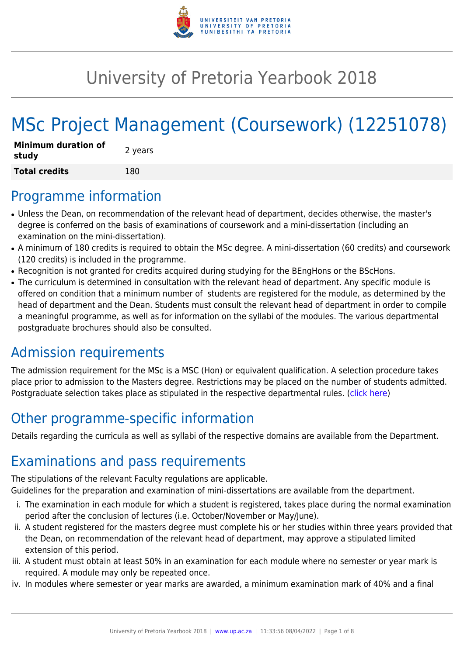

# University of Pretoria Yearbook 2018

# MSc Project Management (Coursework) (12251078)

| <b>Minimum duration of</b><br>study | 2 years |
|-------------------------------------|---------|
| <b>Total credits</b>                | 180     |

## Programme information

- Unless the Dean, on recommendation of the relevant head of department, decides otherwise, the master's degree is conferred on the basis of examinations of coursework and a mini-dissertation (including an examination on the mini-dissertation).
- A minimum of 180 credits is required to obtain the MSc degree. A mini-dissertation (60 credits) and coursework (120 credits) is included in the programme.
- Recognition is not granted for credits acquired during studying for the BEngHons or the BScHons.
- The curriculum is determined in consultation with the relevant head of department. Any specific module is offered on condition that a minimum number of students are registered for the module, as determined by the head of department and the Dean. Students must consult the relevant head of department in order to compile a meaningful programme, as well as for information on the syllabi of the modules. The various departmental postgraduate brochures should also be consulted.

# Admission requirements

The admission requirement for the MSc is a MSC (Hon) or equivalent qualification. A selection procedure takes place prior to admission to the Masters degree. Restrictions may be placed on the number of students admitted. Postgraduate selection takes place as stipulated in the respective departmental rules. [\(click here](http://www.up.ac.za/gstm))

# Other programme-specific information

Details regarding the curricula as well as syllabi of the respective domains are available from the Department.

# Examinations and pass requirements

The stipulations of the relevant Faculty regulations are applicable.

Guidelines for the preparation and examination of mini-dissertations are available from the department.

- i. The examination in each module for which a student is registered, takes place during the normal examination period after the conclusion of lectures (i.e. October/November or May/June).
- ii. A student registered for the masters degree must complete his or her studies within three years provided that the Dean, on recommendation of the relevant head of department, may approve a stipulated limited extension of this period.
- iii. A student must obtain at least 50% in an examination for each module where no semester or year mark is required. A module may only be repeated once.
- iv. In modules where semester or year marks are awarded, a minimum examination mark of 40% and a final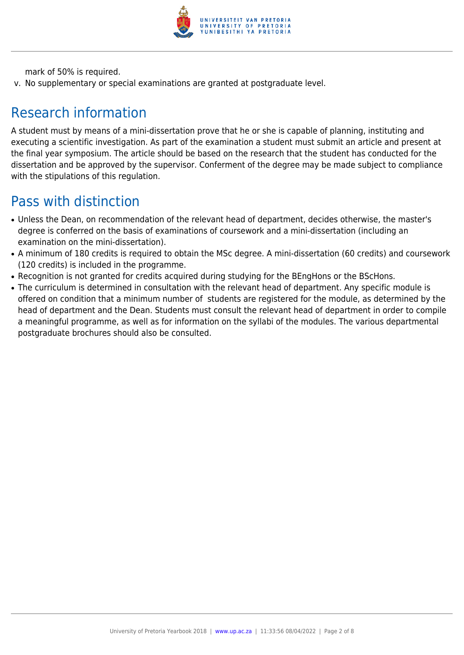

mark of 50% is required.

v. No supplementary or special examinations are granted at postgraduate level.

# Research information

A student must by means of a mini-dissertation prove that he or she is capable of planning, instituting and executing a scientific investigation. As part of the examination a student must submit an article and present at the final year symposium. The article should be based on the research that the student has conducted for the dissertation and be approved by the supervisor. Conferment of the degree may be made subject to compliance with the stipulations of this regulation.

# Pass with distinction

- Unless the Dean, on recommendation of the relevant head of department, decides otherwise, the master's degree is conferred on the basis of examinations of coursework and a mini-dissertation (including an examination on the mini-dissertation).
- A minimum of 180 credits is required to obtain the MSc degree. A mini-dissertation (60 credits) and coursework (120 credits) is included in the programme.
- Recognition is not granted for credits acquired during studying for the BEngHons or the BScHons.
- The curriculum is determined in consultation with the relevant head of department. Any specific module is offered on condition that a minimum number of students are registered for the module, as determined by the head of department and the Dean. Students must consult the relevant head of department in order to compile a meaningful programme, as well as for information on the syllabi of the modules. The various departmental postgraduate brochures should also be consulted.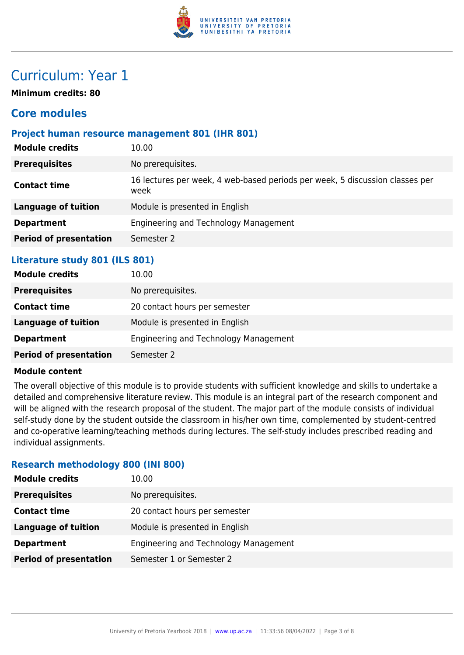

# Curriculum: Year 1

**Minimum credits: 80**

### **Core modules**

### **Project human resource management 801 (IHR 801)**

| <b>Module credits</b>         | 10.00                                                                                |
|-------------------------------|--------------------------------------------------------------------------------------|
| <b>Prerequisites</b>          | No prerequisites.                                                                    |
| <b>Contact time</b>           | 16 lectures per week, 4 web-based periods per week, 5 discussion classes per<br>week |
| Language of tuition           | Module is presented in English                                                       |
| <b>Department</b>             | Engineering and Technology Management                                                |
| <b>Period of presentation</b> | Semester 2                                                                           |
|                               |                                                                                      |

### **Literature study 801 (ILS 801)**

| <b>Module credits</b>         | 10.00                                 |
|-------------------------------|---------------------------------------|
| <b>Prerequisites</b>          | No prerequisites.                     |
| <b>Contact time</b>           | 20 contact hours per semester         |
| Language of tuition           | Module is presented in English        |
| <b>Department</b>             | Engineering and Technology Management |
| <b>Period of presentation</b> | Semester 2                            |

#### **Module content**

The overall objective of this module is to provide students with sufficient knowledge and skills to undertake a detailed and comprehensive literature review. This module is an integral part of the research component and will be aligned with the research proposal of the student. The major part of the module consists of individual self-study done by the student outside the classroom in his/her own time, complemented by student-centred and co-operative learning/teaching methods during lectures. The self-study includes prescribed reading and individual assignments.

### **Research methodology 800 (INI 800)**

| <b>Module credits</b>         | 10.00                                 |
|-------------------------------|---------------------------------------|
| <b>Prerequisites</b>          | No prerequisites.                     |
| <b>Contact time</b>           | 20 contact hours per semester         |
| <b>Language of tuition</b>    | Module is presented in English        |
| <b>Department</b>             | Engineering and Technology Management |
| <b>Period of presentation</b> | Semester 1 or Semester 2              |
|                               |                                       |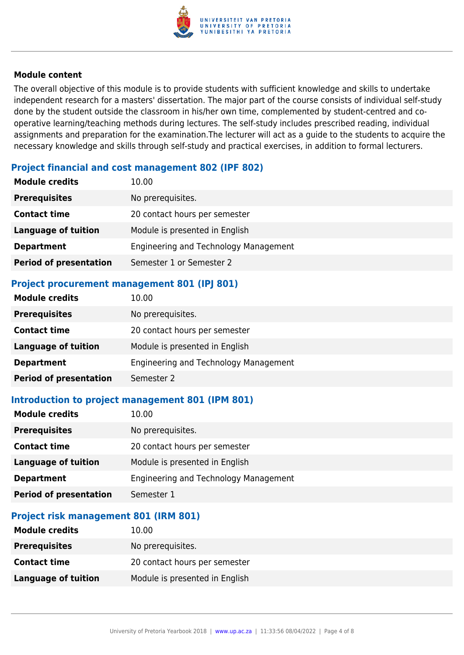

#### **Module content**

The overall objective of this module is to provide students with sufficient knowledge and skills to undertake independent research for a masters' dissertation. The major part of the course consists of individual self-study done by the student outside the classroom in his/her own time, complemented by student-centred and cooperative learning/teaching methods during lectures. The self-study includes prescribed reading, individual assignments and preparation for the examination.The lecturer will act as a guide to the students to acquire the necessary knowledge and skills through self-study and practical exercises, in addition to formal lecturers.

### **Project financial and cost management 802 (IPF 802)**

| <b>Module credits</b>         | 10.00                                 |
|-------------------------------|---------------------------------------|
| <b>Prerequisites</b>          | No prerequisites.                     |
| <b>Contact time</b>           | 20 contact hours per semester         |
| <b>Language of tuition</b>    | Module is presented in English        |
| <b>Department</b>             | Engineering and Technology Management |
| <b>Period of presentation</b> | Semester 1 or Semester 2              |
|                               |                                       |

### **Project procurement management 801 (IPJ 801)**

| <b>Module credits</b>         | 10.00                                 |
|-------------------------------|---------------------------------------|
| <b>Prerequisites</b>          | No prerequisites.                     |
| <b>Contact time</b>           | 20 contact hours per semester         |
| <b>Language of tuition</b>    | Module is presented in English        |
| <b>Department</b>             | Engineering and Technology Management |
| <b>Period of presentation</b> | Semester 2                            |
|                               |                                       |

### **Introduction to project management 801 (IPM 801)**

| <b>Module credits</b>         | 10.00                                 |
|-------------------------------|---------------------------------------|
| <b>Prerequisites</b>          | No prerequisites.                     |
| <b>Contact time</b>           | 20 contact hours per semester         |
| <b>Language of tuition</b>    | Module is presented in English        |
| <b>Department</b>             | Engineering and Technology Management |
| <b>Period of presentation</b> | Semester 1                            |

### **Project risk management 801 (IRM 801)**

| <b>Module credits</b> | 10.00                          |
|-----------------------|--------------------------------|
| <b>Prerequisites</b>  | No prerequisites.              |
| <b>Contact time</b>   | 20 contact hours per semester  |
| Language of tuition   | Module is presented in English |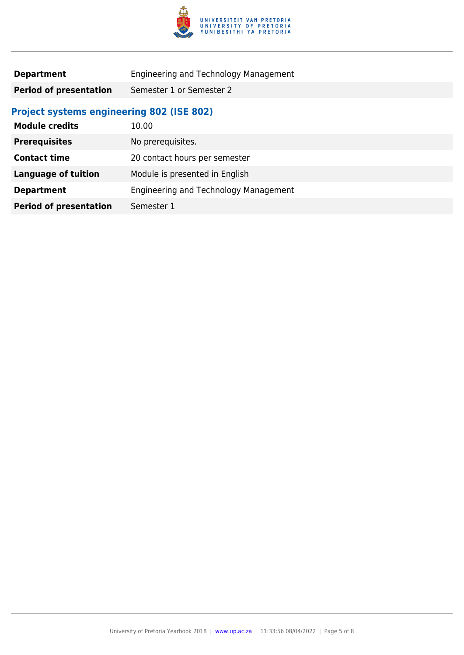

| <b>Department</b>             | Engineering and Technology Management |
|-------------------------------|---------------------------------------|
| <b>Period of presentation</b> | Semester 1 or Semester 2              |

### **Project systems engineering 802 (ISE 802)**

| <b>Module credits</b>         | 10.00                                 |
|-------------------------------|---------------------------------------|
| <b>Prerequisites</b>          | No prerequisites.                     |
| <b>Contact time</b>           | 20 contact hours per semester         |
| <b>Language of tuition</b>    | Module is presented in English        |
| <b>Department</b>             | Engineering and Technology Management |
| <b>Period of presentation</b> | Semester 1                            |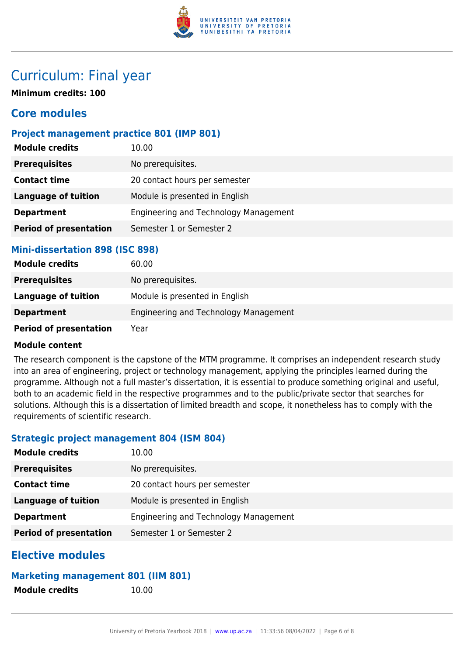

# Curriculum: Final year

**Minimum credits: 100**

### **Core modules**

### **Project management practice 801 (IMP 801)**

| <b>Module credits</b>         | 10.00                                 |
|-------------------------------|---------------------------------------|
| <b>Prerequisites</b>          | No prerequisites.                     |
| <b>Contact time</b>           | 20 contact hours per semester         |
| <b>Language of tuition</b>    | Module is presented in English        |
| <b>Department</b>             | Engineering and Technology Management |
| <b>Period of presentation</b> | Semester 1 or Semester 2              |

### **Mini-dissertation 898 (ISC 898)**

| <b>Module credits</b>         | 60.00                                 |
|-------------------------------|---------------------------------------|
| <b>Prerequisites</b>          | No prerequisites.                     |
| <b>Language of tuition</b>    | Module is presented in English        |
| <b>Department</b>             | Engineering and Technology Management |
| <b>Period of presentation</b> | Year                                  |

### **Module content**

The research component is the capstone of the MTM programme. It comprises an independent research study into an area of engineering, project or technology management, applying the principles learned during the programme. Although not a full master's dissertation, it is essential to produce something original and useful, both to an academic field in the respective programmes and to the public/private sector that searches for solutions. Although this is a dissertation of limited breadth and scope, it nonetheless has to comply with the requirements of scientific research.

### **Strategic project management 804 (ISM 804)**

| <b>Module credits</b>         | 10.00                                 |
|-------------------------------|---------------------------------------|
| <b>Prerequisites</b>          | No prerequisites.                     |
| <b>Contact time</b>           | 20 contact hours per semester         |
| <b>Language of tuition</b>    | Module is presented in English        |
| <b>Department</b>             | Engineering and Technology Management |
| <b>Period of presentation</b> | Semester 1 or Semester 2              |

### **Elective modules**

### **Marketing management 801 (IIM 801)**

**Module credits** 10.00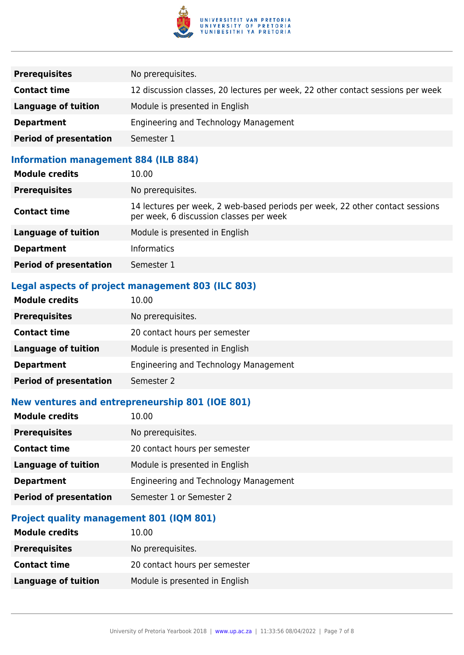

| <b>Prerequisites</b>          | No prerequisites.                                                               |
|-------------------------------|---------------------------------------------------------------------------------|
| <b>Contact time</b>           | 12 discussion classes, 20 lectures per week, 22 other contact sessions per week |
| Language of tuition           | Module is presented in English                                                  |
| <b>Department</b>             | Engineering and Technology Management                                           |
| <b>Period of presentation</b> | Semester 1                                                                      |

### **Information management 884 (ILB 884)**

| <b>Module credits</b>         | 10.00                                                                                                                    |
|-------------------------------|--------------------------------------------------------------------------------------------------------------------------|
| <b>Prerequisites</b>          | No prerequisites.                                                                                                        |
| <b>Contact time</b>           | 14 lectures per week, 2 web-based periods per week, 22 other contact sessions<br>per week, 6 discussion classes per week |
| <b>Language of tuition</b>    | Module is presented in English                                                                                           |
| <b>Department</b>             | <b>Informatics</b>                                                                                                       |
| <b>Period of presentation</b> | Semester 1                                                                                                               |

### **Legal aspects of project management 803 (ILC 803)**

### **New ventures and entrepreneurship 801 (IOE 801)**

| <b>Module credits</b>         | 10.00                                 |
|-------------------------------|---------------------------------------|
| <b>Prerequisites</b>          | No prerequisites.                     |
| <b>Contact time</b>           | 20 contact hours per semester         |
| Language of tuition           | Module is presented in English        |
| <b>Department</b>             | Engineering and Technology Management |
| <b>Period of presentation</b> | Semester 1 or Semester 2              |

### **Project quality management 801 (IQM 801)**

| <b>Module credits</b> | 10.00                          |
|-----------------------|--------------------------------|
| <b>Prerequisites</b>  | No prerequisites.              |
| <b>Contact time</b>   | 20 contact hours per semester  |
| Language of tuition   | Module is presented in English |